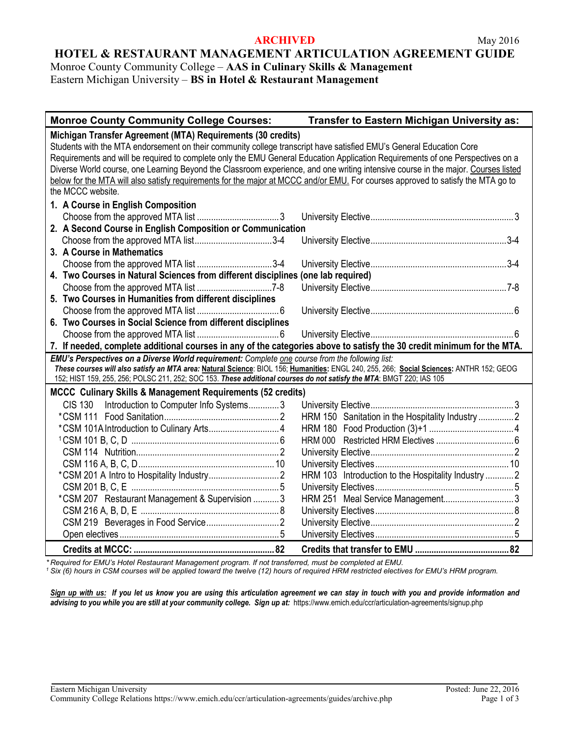#### **ARCHIVED** May 2016

### **HOTEL & RESTAURANT MANAGEMENT ARTICULATION AGREEMENT GUIDE**

Monroe County Community College – **AAS in Culinary Skills & Management** Eastern Michigan University – **BS in Hotel & Restaurant Management**

| <b>Monroe County Community College Courses:</b>                                                                                                                                                                                             | Transfer to Eastern Michigan University as:        |  |  |
|---------------------------------------------------------------------------------------------------------------------------------------------------------------------------------------------------------------------------------------------|----------------------------------------------------|--|--|
| Michigan Transfer Agreement (MTA) Requirements (30 credits)                                                                                                                                                                                 |                                                    |  |  |
| Students with the MTA endorsement on their community college transcript have satisfied EMU's General Education Core                                                                                                                         |                                                    |  |  |
| Requirements and will be required to complete only the EMU General Education Application Requirements of one Perspectives on a                                                                                                              |                                                    |  |  |
| Diverse World course, one Learning Beyond the Classroom experience, and one writing intensive course in the major. Courses listed                                                                                                           |                                                    |  |  |
| below for the MTA will also satisfy requirements for the major at MCCC and/or EMU. For courses approved to satisfy the MTA go to                                                                                                            |                                                    |  |  |
| the MCCC website.                                                                                                                                                                                                                           |                                                    |  |  |
| 1. A Course in English Composition                                                                                                                                                                                                          |                                                    |  |  |
|                                                                                                                                                                                                                                             |                                                    |  |  |
| 2. A Second Course in English Composition or Communication                                                                                                                                                                                  |                                                    |  |  |
|                                                                                                                                                                                                                                             |                                                    |  |  |
| 3. A Course in Mathematics                                                                                                                                                                                                                  |                                                    |  |  |
| Choose from the approved MTA list 3-4                                                                                                                                                                                                       |                                                    |  |  |
| 4. Two Courses in Natural Sciences from different disciplines (one lab required)                                                                                                                                                            |                                                    |  |  |
|                                                                                                                                                                                                                                             |                                                    |  |  |
| 5. Two Courses in Humanities from different disciplines                                                                                                                                                                                     |                                                    |  |  |
|                                                                                                                                                                                                                                             |                                                    |  |  |
| 6. Two Courses in Social Science from different disciplines                                                                                                                                                                                 |                                                    |  |  |
|                                                                                                                                                                                                                                             |                                                    |  |  |
| 7. If needed, complete additional courses in any of the categories above to satisfy the 30 credit minimum for the MTA.                                                                                                                      |                                                    |  |  |
| EMU's Perspectives on a Diverse World requirement: Complete one course from the following list:<br>These courses will also satisfy an MTA area: Natural Science: BIOL 156; Humanities: ENGL 240, 255, 266; Social Sciences: ANTHR 152; GEOG |                                                    |  |  |
| 152; HIST 159, 255, 256; POLSC 211, 252; SOC 153. These additional courses do not satisfy the MTA: BMGT 220; IAS 105                                                                                                                        |                                                    |  |  |
| <b>MCCC Culinary Skills &amp; Management Requirements (52 credits)</b>                                                                                                                                                                      |                                                    |  |  |
| Introduction to Computer Info Systems3<br>CIS 130                                                                                                                                                                                           |                                                    |  |  |
|                                                                                                                                                                                                                                             | HRM 150 Sanitation in the Hospitality Industry 2   |  |  |
|                                                                                                                                                                                                                                             |                                                    |  |  |
|                                                                                                                                                                                                                                             |                                                    |  |  |
|                                                                                                                                                                                                                                             |                                                    |  |  |
|                                                                                                                                                                                                                                             |                                                    |  |  |
|                                                                                                                                                                                                                                             | HRM 103 Introduction to the Hospitality Industry 2 |  |  |
|                                                                                                                                                                                                                                             |                                                    |  |  |
| *CSM 207 Restaurant Management & Supervision  3                                                                                                                                                                                             |                                                    |  |  |
|                                                                                                                                                                                                                                             |                                                    |  |  |
|                                                                                                                                                                                                                                             |                                                    |  |  |
|                                                                                                                                                                                                                                             |                                                    |  |  |
|                                                                                                                                                                                                                                             |                                                    |  |  |

*\* Required for EMU's Hotel Restaurant Management program. If not transferred, must be completed at EMU.*

*<sup>1</sup> Six (6) hours in CSM courses will be applied toward the twelve (12) hours of required HRM restricted electives for EMU's HRM program.*

*Sign up with us: If you let us know you are using this articulation agreement we can stay in touch with you and provide information and*  advising to you while you are still at your community college. Sign up at: https://www.emich.edu/ccr/articulation-agreements/signup.php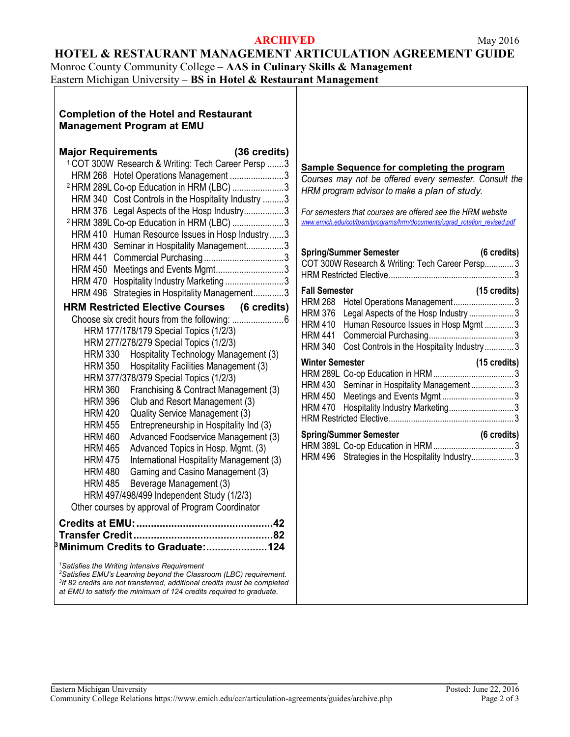### **ARCHIVED** May 2016

### **HOTEL & RESTAURANT MANAGEMENT ARTICULATION AGREEMENT GUIDE**

Monroe County Community College – **AAS in Culinary Skills & Management**

Eastern Michigan University – **BS in Hotel & Restaurant Management**

### **Completion of the Hotel and Restaurant Management Program at EMU**

| <b>Major Requirements</b>                                                            | (36 credits) |  |
|--------------------------------------------------------------------------------------|--------------|--|
| <sup>1</sup> COT 300W Research & Writing: Tech Career Persp  3                       |              |  |
| HRM 268 Hotel Operations Management 3                                                |              |  |
| <sup>2</sup> HRM 289L Co-op Education in HRM (LBC) 3                                 |              |  |
| Cost Controls in the Hospitality Industry 3<br><b>HRM 340</b>                        |              |  |
| Legal Aspects of the Hosp Industry3<br><b>HRM 376</b>                                |              |  |
| <sup>2</sup> HRM 389L Co-op Education in HRM (LBC) 3                                 |              |  |
| Human Resource Issues in Hosp Industry  3<br><b>HRM 410</b>                          |              |  |
| <b>HRM 430</b><br>Seminar in Hospitality Management3                                 |              |  |
| <b>HRM 441</b>                                                                       |              |  |
| Meetings and Events Mgmt3<br><b>HRM 450</b>                                          |              |  |
| Hospitality Industry Marketing 3<br><b>HRM 470</b>                                   |              |  |
| Strategies in Hospitality Management3<br><b>HRM 496</b>                              |              |  |
| <b>HRM Restricted Elective Courses (6 credits)</b>                                   |              |  |
|                                                                                      |              |  |
| HRM 177/178/179 Special Topics (1/2/3)                                               |              |  |
| HRM 277/278/279 Special Topics (1/2/3)                                               |              |  |
| <b>HRM 330</b><br>Hospitality Technology Management (3)                              |              |  |
| Hospitality Facilities Management (3)<br><b>HRM 350</b>                              |              |  |
| HRM 377/378/379 Special Topics (1/2/3)                                               |              |  |
| <b>HRM 360</b><br>Franchising & Contract Management (3)                              |              |  |
| Club and Resort Management (3)<br><b>HRM 396</b>                                     |              |  |
| Quality Service Management (3)<br><b>HRM 420</b>                                     |              |  |
| Entrepreneurship in Hospitality Ind (3)<br><b>HRM 455</b>                            |              |  |
| Advanced Foodservice Management (3)<br><b>HRM 460</b>                                |              |  |
| Advanced Topics in Hosp. Mgmt. (3)<br><b>HRM 465</b>                                 |              |  |
| <b>HRM 475</b><br>International Hospitality Management (3)                           |              |  |
| Gaming and Casino Management (3)<br><b>HRM 480</b>                                   |              |  |
| Beverage Management (3)<br><b>HRM 485</b>                                            |              |  |
| HRM 497/498/499 Independent Study (1/2/3)                                            |              |  |
| Other courses by approval of Program Coordinator                                     |              |  |
|                                                                                      |              |  |
|                                                                                      |              |  |
| <sup>3</sup> Minimum Credits to Graduate:124                                         |              |  |
| <sup>1</sup> Satisfies the Writing Intensive Requirement                             |              |  |
| <sup>2</sup> Satisfies EMU's Learning beyond the Classroom (LBC) requirement.        |              |  |
| <sup>3</sup> If 82 credits are not transferred, additional credits must be completed |              |  |

*at EMU to satisfy the minimum of 124 credits required to graduate.*

#### **Sample Sequence for completing the program**

*Courses may not be offered every semester. Consult the HRM program advisor to make a plan of study.*

*For semesters that courses are offered see the HRM website [www.emich.edu/cot/tpsm/programs/hrm/documents/ugrad\\_rotation\\_revised.pdf](http://www.emich.edu/cot/tpsm/programs/hrm/documents/ugrad_rotation_revised.pdf)*

#### **Spring/Summer Semester (6 credits)** COT 300W Research & Writing: Tech Career Persp............. 3 HRM Restricted Elective........................................................3 **Fall Semester (15 credits)** HRM 268 Hotel Operations Management........................... 3 HRM 376 Legal Aspects of the Hosp Industry ......................3 HRM 410 Human Resource Issues in Hosp Mgmt .............3 HRM 441 Commercial Purchasing......................................3 HRM 340 Cost Controls in the Hospitality Industry............. 3 **Winter Semester (15 credits)** HRM 289L Co-op Education in HRM.................................... 3 HRM 430 Seminar in Hospitality Management ...................3 HRM 450 Meetings and Events Mgmt ................................3 HRM 470 Hospitality Industry Marketing...............................3 HRM Restricted Elective........................................................3

| <b>Spring/Summer Semester</b>                   | $(6 \text{ credits})$ |
|-------------------------------------------------|-----------------------|
|                                                 |                       |
| HRM 496 Strategies in the Hospitality Industry3 |                       |